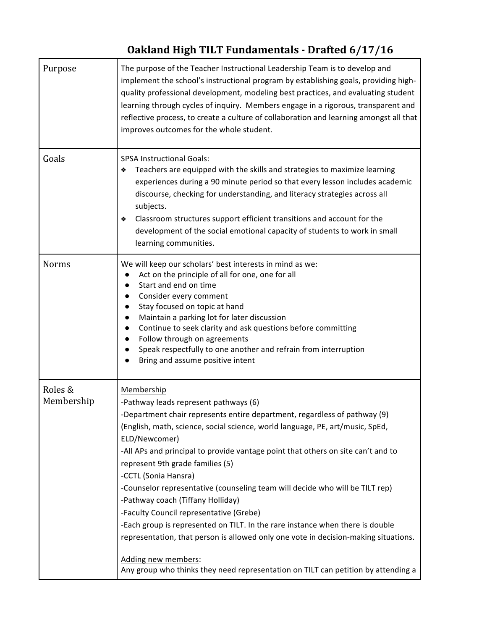## **Oakland High TILT Fundamentals - Drafted 6/17/16**

| Purpose               | The purpose of the Teacher Instructional Leadership Team is to develop and<br>implement the school's instructional program by establishing goals, providing high-<br>quality professional development, modeling best practices, and evaluating student<br>learning through cycles of inquiry. Members engage in a rigorous, transparent and<br>reflective process, to create a culture of collaboration and learning amongst all that<br>improves outcomes for the whole student.                                                                                                                                                                                                                                                                                                                                                      |
|-----------------------|----------------------------------------------------------------------------------------------------------------------------------------------------------------------------------------------------------------------------------------------------------------------------------------------------------------------------------------------------------------------------------------------------------------------------------------------------------------------------------------------------------------------------------------------------------------------------------------------------------------------------------------------------------------------------------------------------------------------------------------------------------------------------------------------------------------------------------------|
| Goals                 | <b>SPSA Instructional Goals:</b><br>Teachers are equipped with the skills and strategies to maximize learning<br>❖<br>experiences during a 90 minute period so that every lesson includes academic<br>discourse, checking for understanding, and literacy strategies across all<br>subjects.<br>Classroom structures support efficient transitions and account for the<br>❖<br>development of the social emotional capacity of students to work in small<br>learning communities.                                                                                                                                                                                                                                                                                                                                                      |
| <b>Norms</b>          | We will keep our scholars' best interests in mind as we:<br>Act on the principle of all for one, one for all<br>Start and end on time<br>Consider every comment<br>$\bullet$<br>Stay focused on topic at hand<br>$\bullet$<br>Maintain a parking lot for later discussion<br>Continue to seek clarity and ask questions before committing<br>Follow through on agreements<br>Speak respectfully to one another and refrain from interruption<br>Bring and assume positive intent                                                                                                                                                                                                                                                                                                                                                       |
| Roles &<br>Membership | Membership<br>-Pathway leads represent pathways (6)<br>-Department chair represents entire department, regardless of pathway (9)<br>(English, math, science, social science, world language, PE, art/music, SpEd,<br>ELD/Newcomer)<br>-All APs and principal to provide vantage point that others on site can't and to<br>represent 9th grade families (5)<br>-CCTL (Sonia Hansra)<br>-Counselor representative (counseling team will decide who will be TILT rep)<br>-Pathway coach (Tiffany Holliday)<br>-Faculty Council representative (Grebe)<br>-Each group is represented on TILT. In the rare instance when there is double<br>representation, that person is allowed only one vote in decision-making situations.<br>Adding new members:<br>Any group who thinks they need representation on TILT can petition by attending a |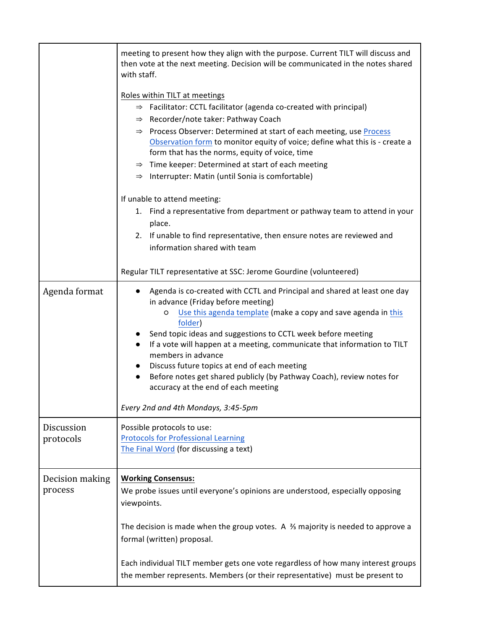|                            | meeting to present how they align with the purpose. Current TILT will discuss and<br>then vote at the next meeting. Decision will be communicated in the notes shared<br>with staff.<br>Roles within TILT at meetings<br>$\Rightarrow$ Facilitator: CCTL facilitator (agenda co-created with principal)<br>$\Rightarrow$ Recorder/note taker: Pathway Coach                                                                                                                                                                                                                                        |
|----------------------------|----------------------------------------------------------------------------------------------------------------------------------------------------------------------------------------------------------------------------------------------------------------------------------------------------------------------------------------------------------------------------------------------------------------------------------------------------------------------------------------------------------------------------------------------------------------------------------------------------|
|                            | $\Rightarrow$ Process Observer: Determined at start of each meeting, use Process<br>Observation form to monitor equity of voice; define what this is - create a<br>form that has the norms, equity of voice, time<br>$\Rightarrow$ Time keeper: Determined at start of each meeting<br>$\Rightarrow$ Interrupter: Matin (until Sonia is comfortable)                                                                                                                                                                                                                                               |
|                            | If unable to attend meeting:<br>1. Find a representative from department or pathway team to attend in your<br>place.<br>2. If unable to find representative, then ensure notes are reviewed and<br>information shared with team                                                                                                                                                                                                                                                                                                                                                                    |
|                            | Regular TILT representative at SSC: Jerome Gourdine (volunteered)                                                                                                                                                                                                                                                                                                                                                                                                                                                                                                                                  |
| Agenda format              | Agenda is co-created with CCTL and Principal and shared at least one day<br>in advance (Friday before meeting)<br>Use this agenda template (make a copy and save agenda in this<br>O<br>folder)<br>Send topic ideas and suggestions to CCTL week before meeting<br>If a vote will happen at a meeting, communicate that information to TILT<br>$\bullet$<br>members in advance<br>Discuss future topics at end of each meeting<br>$\bullet$<br>Before notes get shared publicly (by Pathway Coach), review notes for<br>accuracy at the end of each meeting<br>Every 2nd and 4th Mondays, 3:45-5pm |
| Discussion<br>protocols    | Possible protocols to use:<br><b>Protocols for Professional Learning</b><br>The Final Word (for discussing a text)                                                                                                                                                                                                                                                                                                                                                                                                                                                                                 |
| Decision making<br>process | <b>Working Consensus:</b><br>We probe issues until everyone's opinions are understood, especially opposing<br>viewpoints.                                                                                                                                                                                                                                                                                                                                                                                                                                                                          |
|                            | The decision is made when the group votes. A $\frac{2}{3}$ majority is needed to approve a<br>formal (written) proposal.                                                                                                                                                                                                                                                                                                                                                                                                                                                                           |
|                            | Each individual TILT member gets one vote regardless of how many interest groups<br>the member represents. Members (or their representative) must be present to                                                                                                                                                                                                                                                                                                                                                                                                                                    |